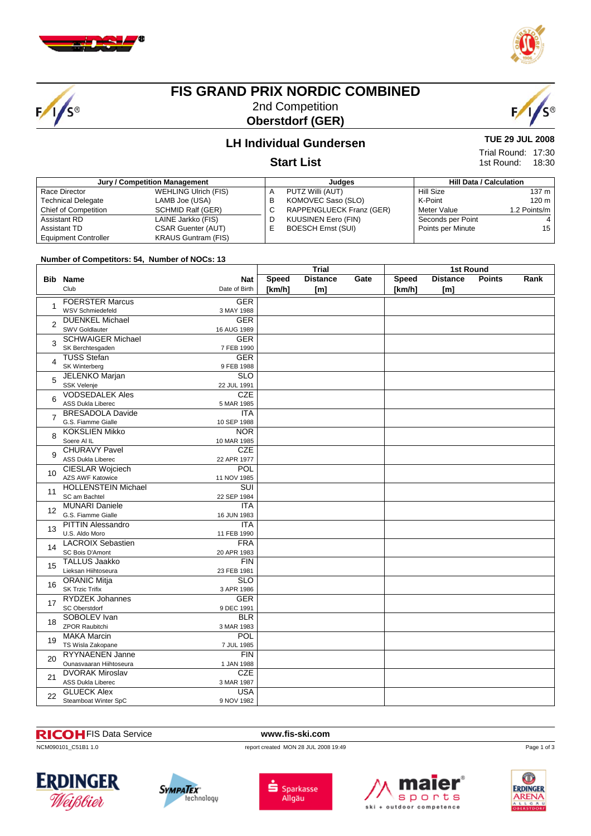

 $F/1/s$ 



## **FIS GRAND PRIX NORDIC COMBINED** 2nd Competition **Oberstdorf (GER)**



# **LH Individual Gundersen**

#### **Start List**

| Jury / Competition Management |                             |    | Judges                    | <b>Hill Data / Calculation</b> |                  |  |
|-------------------------------|-----------------------------|----|---------------------------|--------------------------------|------------------|--|
| Race Director                 | <b>WEHLING Ulrich (FIS)</b> | А  | PUTZ Willi (AUT)          | Hill Size                      | 137 m            |  |
| <b>Technical Delegate</b>     | LAMB Joe (USA)              | в  | KOMOVEC Saso (SLO)        | K-Point                        | 120 <sub>m</sub> |  |
| Chief of Competition          | <b>SCHMID Ralf (GER)</b>    | ◡  | RAPPENGLUECK Franz (GER)  | Meter Value                    | 1.2 Points/m     |  |
| Assistant RD                  | LAINE Jarkko (FIS)          | D  | KUUSINEN Eero (FIN)       | Seconds per Point              | 4                |  |
| Assistant TD                  | <b>CSAR Guenter (AUT)</b>   | F. | <b>BOESCH Ernst (SUI)</b> | Points per Minute              | 15               |  |
| <b>Equipment Controller</b>   | <b>KRAUS Guntram (FIS)</b>  |    |                           |                                |                  |  |

#### **Number of Competitors: 54, Number of NOCs: 13**

|                 |                                                |                           | Trial        |                 |      | <b>1st Round</b> |                  |               |      |
|-----------------|------------------------------------------------|---------------------------|--------------|-----------------|------|------------------|------------------|---------------|------|
|                 | <b>Bib Name</b>                                | <b>Nat</b>                | <b>Speed</b> | <b>Distance</b> | Gate | Speed            | <b>Distance</b>  | <b>Points</b> | Rank |
|                 | Club                                           | Date of Birth             | [km/h]       | [ml]            |      | [km/h]           | [ <sub>m</sub> ] |               |      |
|                 | <b>FOERSTER Marcus</b>                         | <b>GER</b>                |              |                 |      |                  |                  |               |      |
| 1               | WSV Schmiedefeld                               | 3 MAY 1988                |              |                 |      |                  |                  |               |      |
| $\overline{2}$  | <b>DUENKEL Michael</b>                         | <b>GER</b>                |              |                 |      |                  |                  |               |      |
|                 | <b>SWV Goldlauter</b>                          | 16 AUG 1989               |              |                 |      |                  |                  |               |      |
| 3               | <b>SCHWAIGER Michael</b>                       | <b>GER</b>                |              |                 |      |                  |                  |               |      |
|                 | SK Berchtesgaden                               | 7 FEB 1990                |              |                 |      |                  |                  |               |      |
| 4               | <b>TUSS Stefan</b>                             | <b>GER</b>                |              |                 |      |                  |                  |               |      |
|                 | SK Winterberg                                  | 9 FEB 1988                |              |                 |      |                  |                  |               |      |
| 5               | JELENKO Marjan<br><b>SSK Velenje</b>           | $\overline{SLO}$          |              |                 |      |                  |                  |               |      |
|                 | <b>VODSEDALEK Ales</b>                         | 22 JUL 1991<br>CZE        |              |                 |      |                  |                  |               |      |
| 6               | <b>ASS Dukla Liberec</b>                       | 5 MAR 1985                |              |                 |      |                  |                  |               |      |
|                 | <b>BRESADOLA Davide</b>                        | <b>ITA</b>                |              |                 |      |                  |                  |               |      |
| $\overline{7}$  | G.S. Fiamme Gialle                             | 10 SEP 1988               |              |                 |      |                  |                  |               |      |
|                 | <b>KOKSLIEN Mikko</b>                          | <b>NOR</b>                |              |                 |      |                  |                  |               |      |
| 8               | Soere Al IL                                    | 10 MAR 1985               |              |                 |      |                  |                  |               |      |
|                 | <b>CHURAVY Pavel</b>                           | <b>CZE</b>                |              |                 |      |                  |                  |               |      |
| $\mathsf{Q}$    | <b>ASS Dukla Liberec</b>                       | 22 APR 1977               |              |                 |      |                  |                  |               |      |
| 10 <sup>1</sup> | <b>CIESLAR Wojciech</b>                        | POL                       |              |                 |      |                  |                  |               |      |
|                 | <b>AZS AWF Katowice</b>                        | 11 NOV 1985               |              |                 |      |                  |                  |               |      |
| 11              | <b>HOLLENSTEIN Michael</b>                     | SUI                       |              |                 |      |                  |                  |               |      |
|                 | SC am Bachtel                                  | 22 SEP 1984               |              |                 |      |                  |                  |               |      |
| 12              | <b>MUNARI Daniele</b>                          | <b>ITA</b>                |              |                 |      |                  |                  |               |      |
|                 | G.S. Fiamme Gialle                             | 16 JUN 1983               |              |                 |      |                  |                  |               |      |
| 13              | <b>PITTIN Alessandro</b>                       | <b>ITA</b>                |              |                 |      |                  |                  |               |      |
|                 | U.S. Aldo Moro                                 | 11 FEB 1990               |              |                 |      |                  |                  |               |      |
| 14              | <b>LACROIX Sebastien</b>                       | <b>FRA</b>                |              |                 |      |                  |                  |               |      |
|                 | <b>SC Bois D'Amont</b><br><b>TALLUS Jaakko</b> | 20 APR 1983               |              |                 |      |                  |                  |               |      |
| 15              | Lieksan Hiihtoseura                            | <b>FIN</b><br>23 FEB 1981 |              |                 |      |                  |                  |               |      |
|                 | <b>ORANIC Mitja</b>                            | <b>SLO</b>                |              |                 |      |                  |                  |               |      |
| 16              | <b>SK Trzic Trifix</b>                         | 3 APR 1986                |              |                 |      |                  |                  |               |      |
|                 | <b>RYDZEK Johannes</b>                         | <b>GER</b>                |              |                 |      |                  |                  |               |      |
| 17              | <b>SC Oberstdorf</b>                           | 9 DEC 1991                |              |                 |      |                  |                  |               |      |
|                 | SOBOLEV Ivan                                   | <b>BLR</b>                |              |                 |      |                  |                  |               |      |
| 18              | <b>ZPOR Raubitchi</b>                          | 3 MAR 1983                |              |                 |      |                  |                  |               |      |
|                 | <b>MAKA Marcin</b>                             | POL                       |              |                 |      |                  |                  |               |      |
| 19              | TS Wisla Zakopane                              | 7 JUL 1985                |              |                 |      |                  |                  |               |      |
| 20              | <b>RYYNAENEN Janne</b>                         | FIN                       |              |                 |      |                  |                  |               |      |
|                 | Ounasvaaran Hiihtoseura                        | 1 JAN 1988                |              |                 |      |                  |                  |               |      |
| 21              | <b>DVORAK Miroslav</b>                         | <b>CZE</b>                |              |                 |      |                  |                  |               |      |
|                 | <b>ASS Dukla Liberec</b>                       | 3 MAR 1987                |              |                 |      |                  |                  |               |      |
| 22              | <b>GLUECK Alex</b>                             | <b>USA</b>                |              |                 |      |                  |                  |               |      |
|                 | Steamboat Winter SpC                           | 9 NOV 1982                |              |                 |      |                  |                  |               |      |

#### FIS Data Service **www.fis-ski.com**

ncM090101\_C51B1 1.0 report created MON 28 JUL 2008 19:49











Page 1 of 3

1st Round: 18:30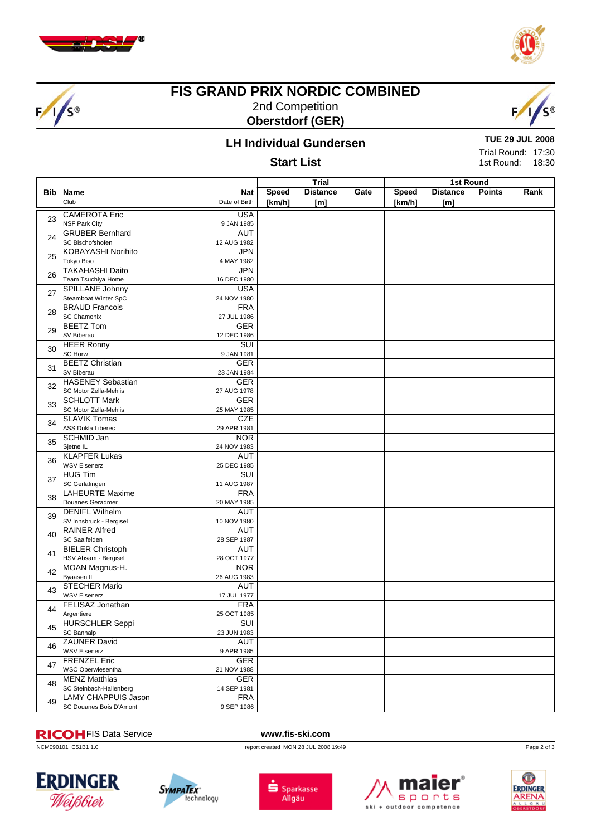

 $F/1/s$ 



## **FIS GRAND PRIX NORDIC COMBINED** 2nd Competition **Oberstdorf (GER)**



# **LH Individual Gundersen**

#### **Start List**

**TUE 29 JUL 2008**

Trial Round: 17:30 1st Round: 18:30

|    |                                                 |                           | <b>Trial</b> |                 |      | 1st Round    |                 |               |      |  |
|----|-------------------------------------------------|---------------------------|--------------|-----------------|------|--------------|-----------------|---------------|------|--|
|    | <b>Bib Name</b>                                 | Nat                       | Speed        | <b>Distance</b> | Gate | <b>Speed</b> | <b>Distance</b> | <b>Points</b> | Rank |  |
|    | Club                                            | Date of Birth             | [km/h]       | [ml]            |      | [km/h]       | [m]             |               |      |  |
|    | <b>CAMEROTA Eric</b>                            | <b>USA</b>                |              |                 |      |              |                 |               |      |  |
| 23 | <b>NSF Park City</b>                            | 9 JAN 1985                |              |                 |      |              |                 |               |      |  |
|    | <b>GRUBER Bernhard</b>                          | <b>AUT</b>                |              |                 |      |              |                 |               |      |  |
| 24 | SC Bischofshofen                                | 12 AUG 1982               |              |                 |      |              |                 |               |      |  |
| 25 | <b>KOBAYASHI Norihito</b>                       | <b>JPN</b>                |              |                 |      |              |                 |               |      |  |
|    | <b>Tokyo Biso</b>                               | 4 MAY 1982                |              |                 |      |              |                 |               |      |  |
| 26 | <b>TAKAHASHI Daito</b>                          | <b>JPN</b>                |              |                 |      |              |                 |               |      |  |
|    | Team Tsuchiya Home                              | 16 DEC 1980               |              |                 |      |              |                 |               |      |  |
| 27 | SPILLANE Johnny                                 | <b>USA</b>                |              |                 |      |              |                 |               |      |  |
|    | Steamboat Winter SpC                            | 24 NOV 1980               |              |                 |      |              |                 |               |      |  |
| 28 | <b>BRAUD Francois</b>                           | <b>FRA</b>                |              |                 |      |              |                 |               |      |  |
|    | <b>SC Chamonix</b>                              | 27 JUL 1986               |              |                 |      |              |                 |               |      |  |
| 29 | <b>BEETZ Tom</b><br>SV Biberau                  | <b>GER</b><br>12 DEC 1986 |              |                 |      |              |                 |               |      |  |
|    | <b>HEER Ronny</b>                               | SUI                       |              |                 |      |              |                 |               |      |  |
| 30 | <b>SC Horw</b>                                  | 9 JAN 1981                |              |                 |      |              |                 |               |      |  |
|    | <b>BEETZ Christian</b>                          | <b>GER</b>                |              |                 |      |              |                 |               |      |  |
| 31 | SV Biberau                                      | 23 JAN 1984               |              |                 |      |              |                 |               |      |  |
|    | <b>HASENEY Sebastian</b>                        | <b>GER</b>                |              |                 |      |              |                 |               |      |  |
| 32 | SC Motor Zella-Mehlis                           | 27 AUG 1978               |              |                 |      |              |                 |               |      |  |
|    | <b>SCHLOTT Mark</b>                             | <b>GER</b>                |              |                 |      |              |                 |               |      |  |
| 33 | SC Motor Zella-Mehlis                           | 25 MAY 1985               |              |                 |      |              |                 |               |      |  |
| 34 | <b>SLAVIK Tomas</b>                             | <b>CZE</b>                |              |                 |      |              |                 |               |      |  |
|    | ASS Dukla Liberec                               | 29 APR 1981               |              |                 |      |              |                 |               |      |  |
| 35 | <b>SCHMID Jan</b>                               | <b>NOR</b>                |              |                 |      |              |                 |               |      |  |
|    | Sjetne IL                                       | 24 NOV 1983               |              |                 |      |              |                 |               |      |  |
| 36 | <b>KLAPFER Lukas</b>                            | <b>AUT</b>                |              |                 |      |              |                 |               |      |  |
|    | <b>WSV Eisenerz</b>                             | 25 DEC 1985               |              |                 |      |              |                 |               |      |  |
| 37 | <b>HUG Tim</b>                                  | SUI                       |              |                 |      |              |                 |               |      |  |
|    | SC Gerlafingen                                  | 11 AUG 1987               |              |                 |      |              |                 |               |      |  |
| 38 | <b>LAHEURTE Maxime</b>                          | <b>FRA</b>                |              |                 |      |              |                 |               |      |  |
|    | Douanes Geradmer                                | 20 MAY 1985               |              |                 |      |              |                 |               |      |  |
| 39 | <b>DENIFL Wilhelm</b>                           | <b>AUT</b>                |              |                 |      |              |                 |               |      |  |
|    | SV Innsbruck - Bergisel<br><b>RAINER Alfred</b> | 10 NOV 1980<br><b>AUT</b> |              |                 |      |              |                 |               |      |  |
| 40 | SC Saalfelden                                   | 28 SEP 1987               |              |                 |      |              |                 |               |      |  |
|    | <b>BIELER Christoph</b>                         | AUT                       |              |                 |      |              |                 |               |      |  |
| 41 | HSV Absam - Bergisel                            | 28 OCT 1977               |              |                 |      |              |                 |               |      |  |
|    | MOAN Magnus-H.                                  | <b>NOR</b>                |              |                 |      |              |                 |               |      |  |
| 42 | Byaasen IL                                      | 26 AUG 1983               |              |                 |      |              |                 |               |      |  |
|    | <b>STECHER Mario</b>                            | <b>AUT</b>                |              |                 |      |              |                 |               |      |  |
| 43 | <b>WSV Eisenerz</b>                             | 17 JUL 1977               |              |                 |      |              |                 |               |      |  |
| 44 | <b>FELISAZ Jonathan</b>                         | <b>FRA</b>                |              |                 |      |              |                 |               |      |  |
|    | Argentiere                                      | 25 OCT 1985               |              |                 |      |              |                 |               |      |  |
| 45 | <b>HURSCHLER Seppi</b>                          | SUI                       |              |                 |      |              |                 |               |      |  |
|    | SC Bannalp                                      | 23 JUN 1983               |              |                 |      |              |                 |               |      |  |
| 46 | <b>ZAUNER David</b>                             | <b>AUT</b>                |              |                 |      |              |                 |               |      |  |
|    | <b>WSV Eisenerz</b>                             | 9 APR 1985                |              |                 |      |              |                 |               |      |  |
| 47 | <b>FRENZEL Eric</b>                             | <b>GER</b>                |              |                 |      |              |                 |               |      |  |
|    | <b>WSC Oberwiesenthal</b>                       | 21 NOV 1988               |              |                 |      |              |                 |               |      |  |
| 48 | <b>MENZ Matthias</b>                            | <b>GER</b>                |              |                 |      |              |                 |               |      |  |
|    | SC Steinbach-Hallenberg                         | 14 SEP 1981               |              |                 |      |              |                 |               |      |  |
| 49 | LAMY CHAPPUIS Jason<br>SC Douanes Bois D'Amont  | <b>FRA</b><br>9 SEP 1986  |              |                 |      |              |                 |               |      |  |
|    |                                                 |                           |              |                 |      |              |                 |               |      |  |

# **RICOI-** FIS Data Service **www.fis-ski.com**<br> **NCM090101\_C51B1 1.0 report created MON 28 JUL 2008**

report created MON 28 JUL 2008 19:49











Page 2 of 3